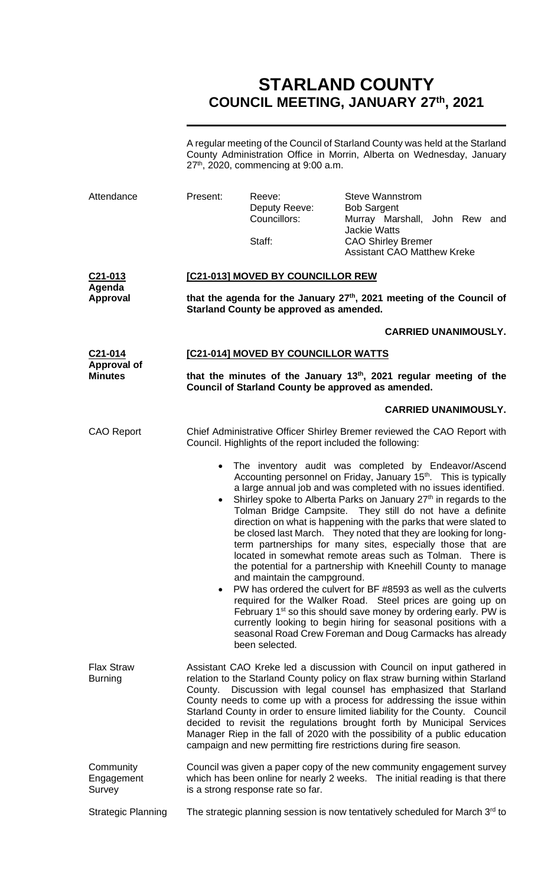# **STARLAND COUNTY COUNCIL MEETING, JANUARY 27th, 2021**

A regular meeting of the Council of Starland County was held at the Starland County Administration Office in Morrin, Alberta on Wednesday, January 27<sup>th</sup>, 2020, commencing at 9:00 a.m.

| Attendance                                                   | Present:                                                                                                                                                                                                                                                                                                                                                                                                                                                                                                                                                                                                                | Reeve:<br>Deputy Reeve:<br>Councillors:<br>Staff: | <b>Steve Wannstrom</b><br><b>Bob Sargent</b><br>Murray Marshall, John Rew and<br><b>Jackie Watts</b><br><b>CAO Shirley Bremer</b><br><b>Assistant CAO Matthew Kreke</b>                                                                                                                                                                                                                                                                                                                                                                                                                                                                                                                                                                                                                                                                                                                                                                                                                                                           |                             |  |
|--------------------------------------------------------------|-------------------------------------------------------------------------------------------------------------------------------------------------------------------------------------------------------------------------------------------------------------------------------------------------------------------------------------------------------------------------------------------------------------------------------------------------------------------------------------------------------------------------------------------------------------------------------------------------------------------------|---------------------------------------------------|-----------------------------------------------------------------------------------------------------------------------------------------------------------------------------------------------------------------------------------------------------------------------------------------------------------------------------------------------------------------------------------------------------------------------------------------------------------------------------------------------------------------------------------------------------------------------------------------------------------------------------------------------------------------------------------------------------------------------------------------------------------------------------------------------------------------------------------------------------------------------------------------------------------------------------------------------------------------------------------------------------------------------------------|-----------------------------|--|
| C <sub>21</sub> -013<br>Agenda<br><b>Approval</b>            | [C21-013] MOVED BY COUNCILLOR REW                                                                                                                                                                                                                                                                                                                                                                                                                                                                                                                                                                                       |                                                   |                                                                                                                                                                                                                                                                                                                                                                                                                                                                                                                                                                                                                                                                                                                                                                                                                                                                                                                                                                                                                                   |                             |  |
|                                                              | that the agenda for the January 27 <sup>th</sup> , 2021 meeting of the Council of<br>Starland County be approved as amended.                                                                                                                                                                                                                                                                                                                                                                                                                                                                                            |                                                   |                                                                                                                                                                                                                                                                                                                                                                                                                                                                                                                                                                                                                                                                                                                                                                                                                                                                                                                                                                                                                                   |                             |  |
|                                                              |                                                                                                                                                                                                                                                                                                                                                                                                                                                                                                                                                                                                                         |                                                   |                                                                                                                                                                                                                                                                                                                                                                                                                                                                                                                                                                                                                                                                                                                                                                                                                                                                                                                                                                                                                                   | <b>CARRIED UNANIMOUSLY.</b> |  |
| C <sub>21</sub> -014<br><b>Approval of</b><br><b>Minutes</b> | [C21-014] MOVED BY COUNCILLOR WATTS                                                                                                                                                                                                                                                                                                                                                                                                                                                                                                                                                                                     |                                                   |                                                                                                                                                                                                                                                                                                                                                                                                                                                                                                                                                                                                                                                                                                                                                                                                                                                                                                                                                                                                                                   |                             |  |
|                                                              | that the minutes of the January $13th$ , 2021 regular meeting of the<br>Council of Starland County be approved as amended.                                                                                                                                                                                                                                                                                                                                                                                                                                                                                              |                                                   |                                                                                                                                                                                                                                                                                                                                                                                                                                                                                                                                                                                                                                                                                                                                                                                                                                                                                                                                                                                                                                   |                             |  |
|                                                              |                                                                                                                                                                                                                                                                                                                                                                                                                                                                                                                                                                                                                         |                                                   |                                                                                                                                                                                                                                                                                                                                                                                                                                                                                                                                                                                                                                                                                                                                                                                                                                                                                                                                                                                                                                   | <b>CARRIED UNANIMOUSLY.</b> |  |
| <b>CAO Report</b>                                            | Chief Administrative Officer Shirley Bremer reviewed the CAO Report with<br>Council. Highlights of the report included the following:                                                                                                                                                                                                                                                                                                                                                                                                                                                                                   |                                                   |                                                                                                                                                                                                                                                                                                                                                                                                                                                                                                                                                                                                                                                                                                                                                                                                                                                                                                                                                                                                                                   |                             |  |
|                                                              | $\bullet$                                                                                                                                                                                                                                                                                                                                                                                                                                                                                                                                                                                                               | and maintain the campground.<br>been selected.    | The inventory audit was completed by Endeavor/Ascend<br>Accounting personnel on Friday, January 15 <sup>th</sup> . This is typically<br>a large annual job and was completed with no issues identified.<br>Shirley spoke to Alberta Parks on January 27 <sup>th</sup> in regards to the<br>Tolman Bridge Campsite. They still do not have a definite<br>direction on what is happening with the parks that were slated to<br>be closed last March. They noted that they are looking for long-<br>term partnerships for many sites, especially those that are<br>located in somewhat remote areas such as Tolman.<br>the potential for a partnership with Kneehill County to manage<br>PW has ordered the culvert for BF #8593 as well as the culverts<br>required for the Walker Road. Steel prices are going up on<br>February 1 <sup>st</sup> so this should save money by ordering early. PW is<br>currently looking to begin hiring for seasonal positions with a<br>seasonal Road Crew Foreman and Doug Carmacks has already | There is                    |  |
| <b>Flax Straw</b><br><b>Burning</b>                          | Assistant CAO Kreke led a discussion with Council on input gathered in<br>relation to the Starland County policy on flax straw burning within Starland<br>Discussion with legal counsel has emphasized that Starland<br>County.<br>County needs to come up with a process for addressing the issue within<br>Starland County in order to ensure limited liability for the County. Council<br>decided to revisit the regulations brought forth by Municipal Services<br>Manager Riep in the fall of 2020 with the possibility of a public education<br>campaign and new permitting fire restrictions during fire season. |                                                   |                                                                                                                                                                                                                                                                                                                                                                                                                                                                                                                                                                                                                                                                                                                                                                                                                                                                                                                                                                                                                                   |                             |  |
| Community<br>Engagement<br>Survey                            | Council was given a paper copy of the new community engagement survey<br>which has been online for nearly 2 weeks.  The initial reading is that there<br>is a strong response rate so far.                                                                                                                                                                                                                                                                                                                                                                                                                              |                                                   |                                                                                                                                                                                                                                                                                                                                                                                                                                                                                                                                                                                                                                                                                                                                                                                                                                                                                                                                                                                                                                   |                             |  |
| <b>Strategic Planning</b>                                    | The strategic planning session is now tentatively scheduled for March $3rd$ to                                                                                                                                                                                                                                                                                                                                                                                                                                                                                                                                          |                                                   |                                                                                                                                                                                                                                                                                                                                                                                                                                                                                                                                                                                                                                                                                                                                                                                                                                                                                                                                                                                                                                   |                             |  |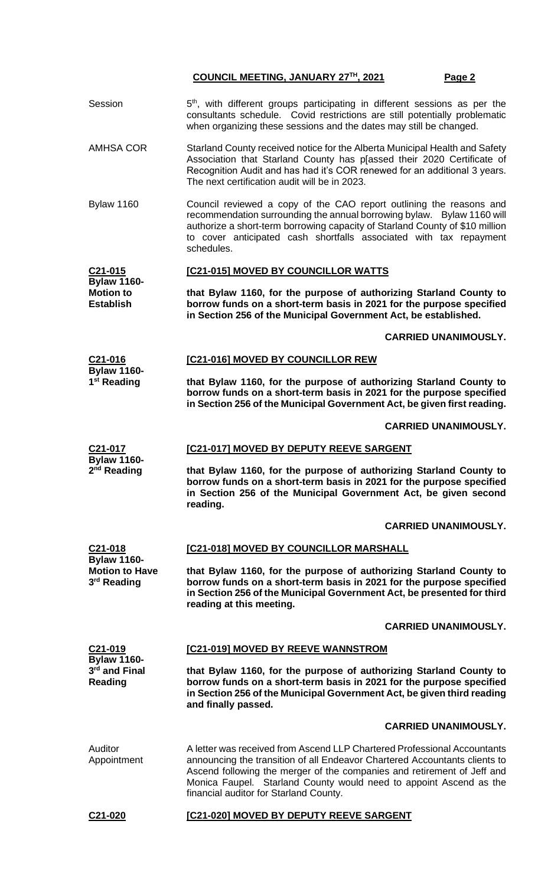#### **COUNCIL MEETING, JANUARY 27TH, 2021 Page 2**

- Session  $5<sup>th</sup>$ , with different groups participating in different sessions as per the consultants schedule. Covid restrictions are still potentially problematic when organizing these sessions and the dates may still be changed.
- AMHSA COR Starland County received notice for the Alberta Municipal Health and Safety Association that Starland County has p[assed their 2020 Certificate of Recognition Audit and has had it's COR renewed for an additional 3 years. The next certification audit will be in 2023.
- Bylaw 1160 Council reviewed a copy of the CAO report outlining the reasons and recommendation surrounding the annual borrowing bylaw. Bylaw 1160 will authorize a short-term borrowing capacity of Starland County of \$10 million to cover anticipated cash shortfalls associated with tax repayment schedules.

#### **C21-015 Bylaw 1160- [C21-015] MOVED BY COUNCILLOR WATTS**

**Motion to Establish that Bylaw 1160, for the purpose of authorizing Starland County to borrow funds on a short-term basis in 2021 for the purpose specified in Section 256 of the Municipal Government Act, be established.**

### **CARRIED UNANIMOUSLY.**

#### **C21-016 Bylaw 1160- [C21-016] MOVED BY COUNCILLOR REW**

**that Bylaw 1160, for the purpose of authorizing Starland County to borrow funds on a short-term basis in 2021 for the purpose specified in Section 256 of the Municipal Government Act, be given first reading.**

#### **CARRIED UNANIMOUSLY.**

**C21-017 [C21-017] MOVED BY DEPUTY REEVE SARGENT**

**Bylaw 1160- 2 nd Reading**

**1 st Reading**

**that Bylaw 1160, for the purpose of authorizing Starland County to borrow funds on a short-term basis in 2021 for the purpose specified in Section 256 of the Municipal Government Act, be given second reading.**

#### **CARRIED UNANIMOUSLY.**

**C21-018 Bylaw 1160- Motion to Have 3 rd Reading [C21-018] MOVED BY COUNCILLOR MARSHALL that Bylaw 1160, for the purpose of authorizing Starland County to borrow funds on a short-term basis in 2021 for the purpose specified in Section 256 of the Municipal Government Act, be presented for third reading at this meeting.**

#### **CARRIED UNANIMOUSLY.**

| C21-019<br><b>Bylaw 1160-</b><br>3 <sup>rd</sup> and Final<br>Reading | [C21-019] MOVED BY REEVE WANNSTROM                                                                                                                                                                                                                                                                                                                |  |  |  |
|-----------------------------------------------------------------------|---------------------------------------------------------------------------------------------------------------------------------------------------------------------------------------------------------------------------------------------------------------------------------------------------------------------------------------------------|--|--|--|
|                                                                       | that Bylaw 1160, for the purpose of authorizing Starland County to<br>borrow funds on a short-term basis in 2021 for the purpose specified<br>in Section 256 of the Municipal Government Act, be given third reading<br>and finally passed.                                                                                                       |  |  |  |
|                                                                       | <b>CARRIED UNANIMOUSLY.</b>                                                                                                                                                                                                                                                                                                                       |  |  |  |
| Auditor<br>Appointment                                                | A letter was received from Ascend LLP Chartered Professional Accountants<br>announcing the transition of all Endeavor Chartered Accountants clients to<br>Ascend following the merger of the companies and retirement of Jeff and<br>Monica Faupel. Starland County would need to appoint Ascend as the<br>financial auditor for Starland County. |  |  |  |

**C21-020 [C21-020] MOVED BY DEPUTY REEVE SARGENT**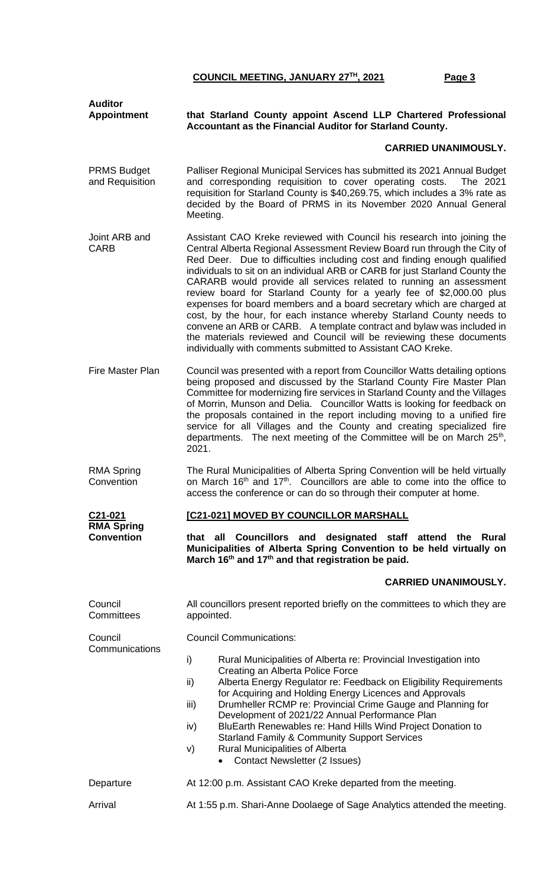## **COUNCIL MEETING, JANUARY 27TH, 2021 Page 3**

| <b>Auditor</b>                         |                                                                                                                                                                                                                                                                                                                                                                                                                                                                                                                                                                                                                                                                                                                                                                                                                                   |  |  |  |
|----------------------------------------|-----------------------------------------------------------------------------------------------------------------------------------------------------------------------------------------------------------------------------------------------------------------------------------------------------------------------------------------------------------------------------------------------------------------------------------------------------------------------------------------------------------------------------------------------------------------------------------------------------------------------------------------------------------------------------------------------------------------------------------------------------------------------------------------------------------------------------------|--|--|--|
| <b>Appointment</b>                     | that Starland County appoint Ascend LLP Chartered Professional<br>Accountant as the Financial Auditor for Starland County.                                                                                                                                                                                                                                                                                                                                                                                                                                                                                                                                                                                                                                                                                                        |  |  |  |
|                                        | <b>CARRIED UNANIMOUSLY.</b>                                                                                                                                                                                                                                                                                                                                                                                                                                                                                                                                                                                                                                                                                                                                                                                                       |  |  |  |
| <b>PRMS Budget</b><br>and Requisition  | Palliser Regional Municipal Services has submitted its 2021 Annual Budget<br>and corresponding requisition to cover operating costs.<br>The 2021<br>requisition for Starland County is \$40,269.75, which includes a 3% rate as<br>decided by the Board of PRMS in its November 2020 Annual General<br>Meeting.                                                                                                                                                                                                                                                                                                                                                                                                                                                                                                                   |  |  |  |
| Joint ARB and<br><b>CARB</b>           | Assistant CAO Kreke reviewed with Council his research into joining the<br>Central Alberta Regional Assessment Review Board run through the City of<br>Red Deer. Due to difficulties including cost and finding enough qualified<br>individuals to sit on an individual ARB or CARB for just Starland County the<br>CARARB would provide all services related to running an assessment<br>review board for Starland County for a yearly fee of \$2,000.00 plus<br>expenses for board members and a board secretary which are charged at<br>cost, by the hour, for each instance whereby Starland County needs to<br>convene an ARB or CARB. A template contract and bylaw was included in<br>the materials reviewed and Council will be reviewing these documents<br>individually with comments submitted to Assistant CAO Kreke. |  |  |  |
| Fire Master Plan                       | Council was presented with a report from Councillor Watts detailing options<br>being proposed and discussed by the Starland County Fire Master Plan<br>Committee for modernizing fire services in Starland County and the Villages<br>of Morrin, Munson and Delia. Councillor Watts is looking for feedback on<br>the proposals contained in the report including moving to a unified fire<br>service for all Villages and the County and creating specialized fire<br>departments. The next meeting of the Committee will be on March 25 <sup>th</sup> ,<br>2021.                                                                                                                                                                                                                                                                |  |  |  |
| <b>RMA Spring</b><br>Convention        | The Rural Municipalities of Alberta Spring Convention will be held virtually<br>on March 16 <sup>th</sup> and 17 <sup>th</sup> . Councillors are able to come into the office to<br>access the conference or can do so through their computer at home.                                                                                                                                                                                                                                                                                                                                                                                                                                                                                                                                                                            |  |  |  |
| C21-021                                | [C21-021] MOVED BY COUNCILLOR MARSHALL                                                                                                                                                                                                                                                                                                                                                                                                                                                                                                                                                                                                                                                                                                                                                                                            |  |  |  |
| <b>RMA Spring</b><br><b>Convention</b> | Councillors and designated staff<br>all<br><b>Rural</b><br>that<br>attend the<br>Municipalities of Alberta Spring Convention to be held virtually on<br>March 16 <sup>th</sup> and 17 <sup>th</sup> and that registration be paid.                                                                                                                                                                                                                                                                                                                                                                                                                                                                                                                                                                                                |  |  |  |
|                                        | <b>CARRIED UNANIMOUSLY.</b>                                                                                                                                                                                                                                                                                                                                                                                                                                                                                                                                                                                                                                                                                                                                                                                                       |  |  |  |
| Council<br>Committees                  | All councillors present reported briefly on the committees to which they are<br>appointed.                                                                                                                                                                                                                                                                                                                                                                                                                                                                                                                                                                                                                                                                                                                                        |  |  |  |
| Council<br>Communications              | <b>Council Communications:</b>                                                                                                                                                                                                                                                                                                                                                                                                                                                                                                                                                                                                                                                                                                                                                                                                    |  |  |  |
|                                        | i)<br>Rural Municipalities of Alberta re: Provincial Investigation into<br>Creating an Alberta Police Force<br>Alberta Energy Regulator re: Feedback on Eligibility Requirements<br>ii)<br>for Acquiring and Holding Energy Licences and Approvals<br>Drumheller RCMP re: Provincial Crime Gauge and Planning for<br>iii)<br>Development of 2021/22 Annual Performance Plan<br>BluEarth Renewables re: Hand Hills Wind Project Donation to<br>iv)<br><b>Starland Family &amp; Community Support Services</b><br><b>Rural Municipalities of Alberta</b><br>V)<br><b>Contact Newsletter (2 Issues)</b><br>$\bullet$                                                                                                                                                                                                                 |  |  |  |
| Departure                              | At 12:00 p.m. Assistant CAO Kreke departed from the meeting.                                                                                                                                                                                                                                                                                                                                                                                                                                                                                                                                                                                                                                                                                                                                                                      |  |  |  |
| Arrival                                | At 1:55 p.m. Shari-Anne Doolaege of Sage Analytics attended the meeting.                                                                                                                                                                                                                                                                                                                                                                                                                                                                                                                                                                                                                                                                                                                                                          |  |  |  |